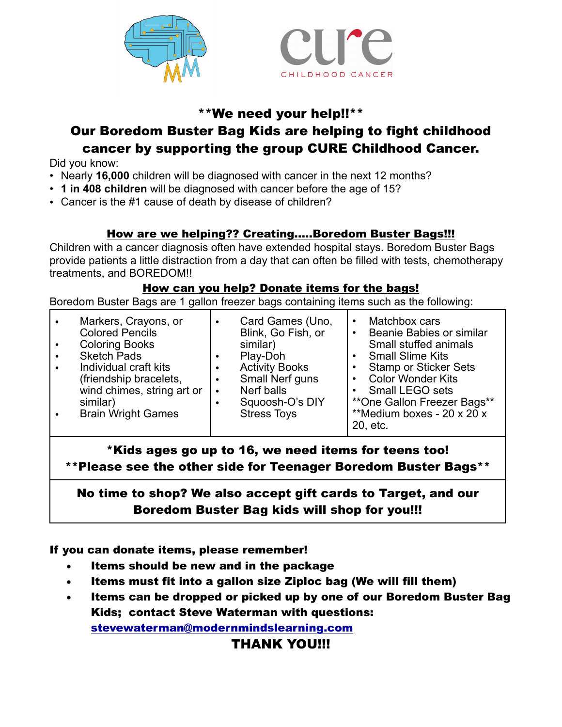



## \*\*We need your help!!\*\*

## Our Boredom Buster Bag Kids are helping to fight childhood cancer by supporting the group CURE Childhood Cancer.

Did you know:

- Nearly **16,000** children will be diagnosed with cancer in the next 12 months?
- **1 in 408 children** will be diagnosed with cancer before the age of 15?
- Cancer is the #1 cause of death by disease of children?

#### How are we helping?? Creating.....Boredom Buster Bags!!!

Children with a cancer diagnosis often have extended hospital stays. Boredom Buster Bags provide patients a little distraction from a day that can often be filled with tests, chemotherapy treatments, and BOREDOM!!

#### How can you help? Donate items for the bags!

Boredom Buster Bags are 1 gallon freezer bags containing items such as the following:

| Markers, Crayons, or<br>$\bullet$<br><b>Colored Pencils</b><br><b>Coloring Books</b><br><b>Sketch Pads</b><br>$\bullet$<br>Individual craft kits<br>(friendship bracelets,<br>wind chimes, string art or<br>similar)<br><b>Brain Wright Games</b> | Card Games (Uno,<br>Blink, Go Fish, or<br>similar)<br>Play-Doh<br><b>Activity Books</b><br>Small Nerf guns<br>Nerf balls<br>$\bullet$<br>Squoosh-O's DIY<br><b>Stress Toys</b> | Matchbox cars<br>$\bullet$<br>Beanie Babies or similar<br>$\bullet$<br>Small stuffed animals<br><b>Small Slime Kits</b><br>٠<br><b>Stamp or Sticker Sets</b><br>$\bullet$<br><b>Color Wonder Kits</b><br>٠<br><b>Small LEGO sets</b><br>**One Gallon Freezer Bags**<br>**Medium boxes - 20 x 20 x<br>20, etc. |
|---------------------------------------------------------------------------------------------------------------------------------------------------------------------------------------------------------------------------------------------------|--------------------------------------------------------------------------------------------------------------------------------------------------------------------------------|---------------------------------------------------------------------------------------------------------------------------------------------------------------------------------------------------------------------------------------------------------------------------------------------------------------|
|---------------------------------------------------------------------------------------------------------------------------------------------------------------------------------------------------------------------------------------------------|--------------------------------------------------------------------------------------------------------------------------------------------------------------------------------|---------------------------------------------------------------------------------------------------------------------------------------------------------------------------------------------------------------------------------------------------------------------------------------------------------------|

\*Kids ages go up to 16, we need items for teens too! \*\*Please see the other side for Teenager Boredom Buster Bags\*\*

## No time to shop? We also accept gift cards to Target, and our Boredom Buster Bag kids will shop for you!!!

If you can donate items, please remember!

- Items should be new and in the package
- Items must fit into a gallon size Ziploc bag (We will fill them)
- Items can be dropped or picked up by one of our Boredom Buster Bag Kids; contact Steve Waterman with questions: [stevewaterman@modernmindslearning.com](mailto:swaterman13@gmail.com)

#### THANK YOU!!!